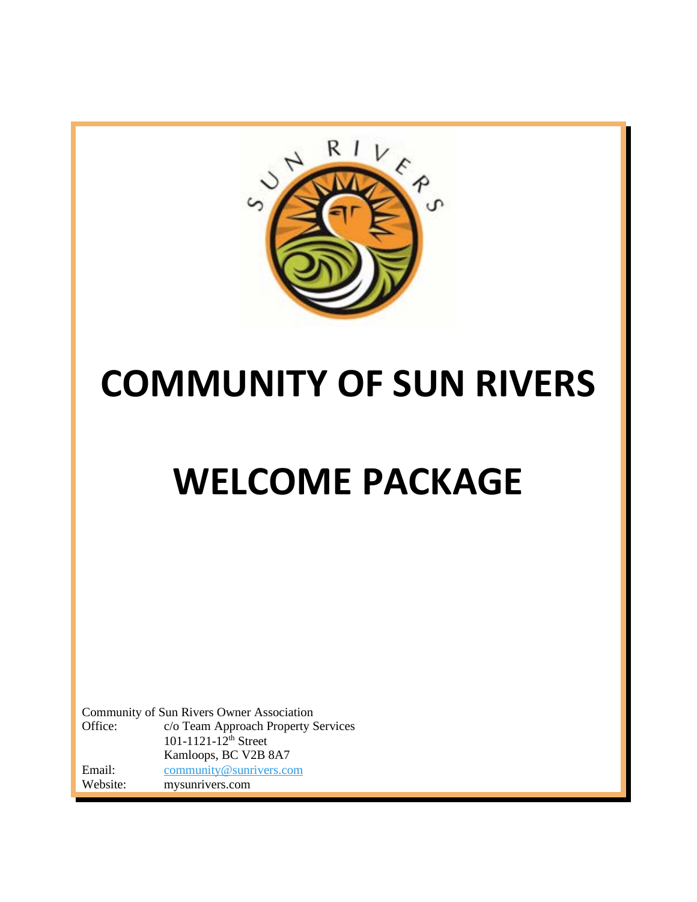

# **COMMUNITY OF SUN RIVERS**

# **WELCOME PACKAGE**

Community of Sun Rivers Owner Association Office: c/o Team Approach Property Services  $101 - 1121 - 12$ <sup>th</sup> Street Kamloops, BC V2B 8A7 Email: [community@sunrivers.com](mailto:community@sunrivers.com) Website: mysunrivers.com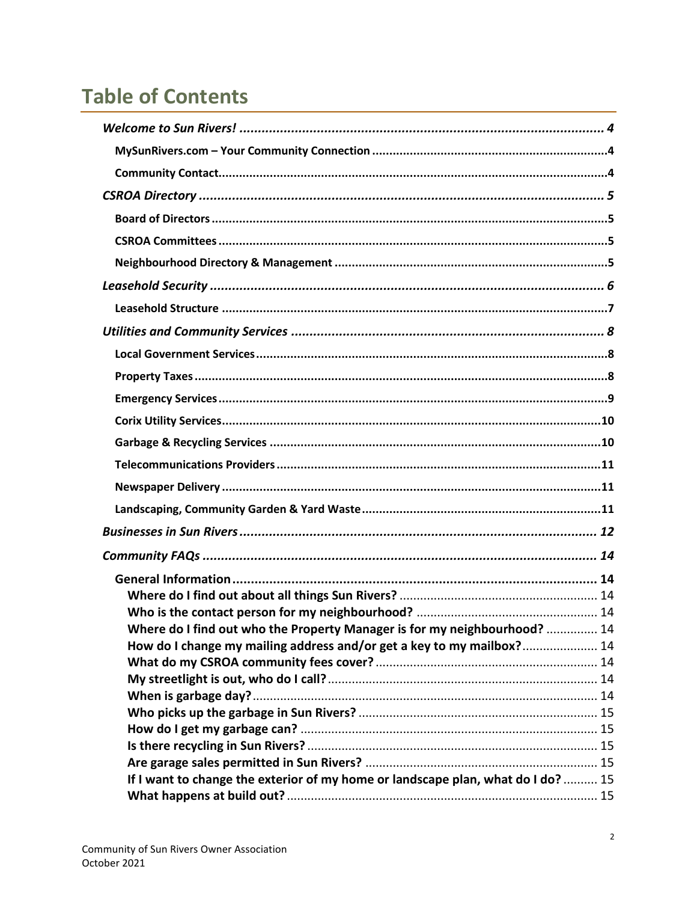# **Table of Contents**

| Where do I find out who the Property Manager is for my neighbourhood?  14        |  |
|----------------------------------------------------------------------------------|--|
| How do I change my mailing address and/or get a key to my mailbox? 14            |  |
|                                                                                  |  |
|                                                                                  |  |
|                                                                                  |  |
|                                                                                  |  |
|                                                                                  |  |
|                                                                                  |  |
|                                                                                  |  |
| If I want to change the exterior of my home or landscape plan, what do I do?  15 |  |
|                                                                                  |  |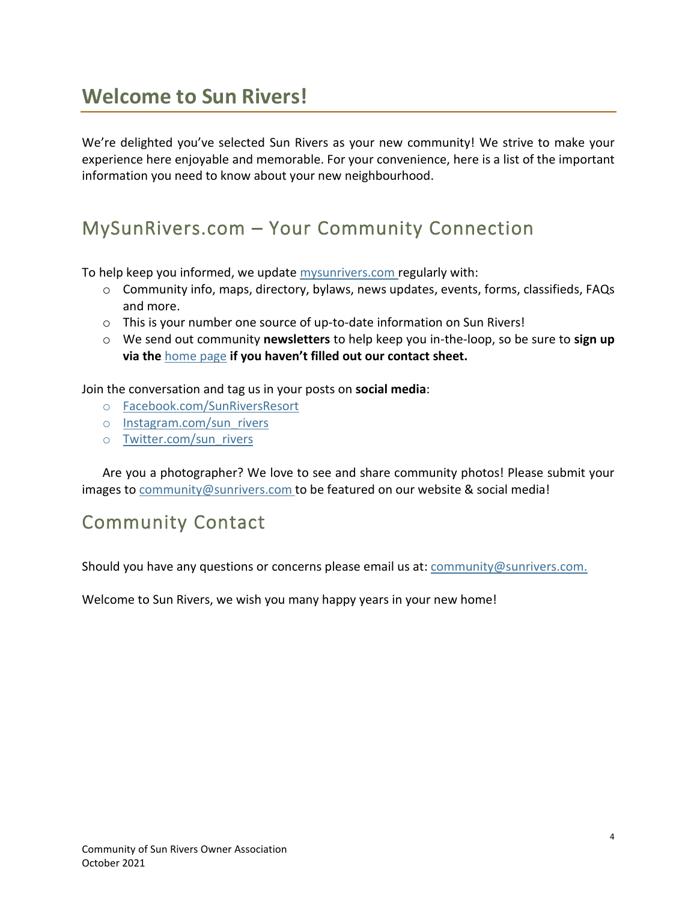# <span id="page-3-0"></span>**Welcome to Sun Rivers!**

We're delighted you've selected Sun Rivers as your new community! We strive to make your experience here enjoyable and memorable. For your convenience, here is a list of the important information you need to know about your new neighbourhood.

# <span id="page-3-1"></span>MySunRivers.com – Your Community Connection

To help keep you informed, we update [mysunrivers.com](http://mysunrivers.com/) regularly with:

- $\circ$  Community info, maps, directory, bylaws, news updates, events, forms, classifieds, FAQs and more.
- o This is your number one source of up-to-date information on Sun Rivers!
- o We send out community **newsletters** to help keep you in-the-loop, so be sure to **sign up via the** [home page](http://mysunrivers.com/) **if you haven't filled out our contact sheet.**

Join the conversation and tag us in your posts on **social media**:

- o [Facebook.com/SunRiversResort](https://www.facebook.com/Sunriversresort/)
- o [Instagram.com/sun\\_rivers](https://www.instagram.com/sun_rivers/)
- o [Twitter.com/sun\\_rivers](https://twitter.com/sun_rivers)

Are you a photographer? We love to see and share community photos! Please submit your images to [community@sunrivers.com](mailto:community@sunrivers.com) to be featured on our website & social media!

# <span id="page-3-2"></span>Community Contact

Should you have any questions or concerns please email us at: [community@sunrivers.com.](mailto:community@sunrivers.com.)

Welcome to Sun Rivers, we wish you many happy years in your new home!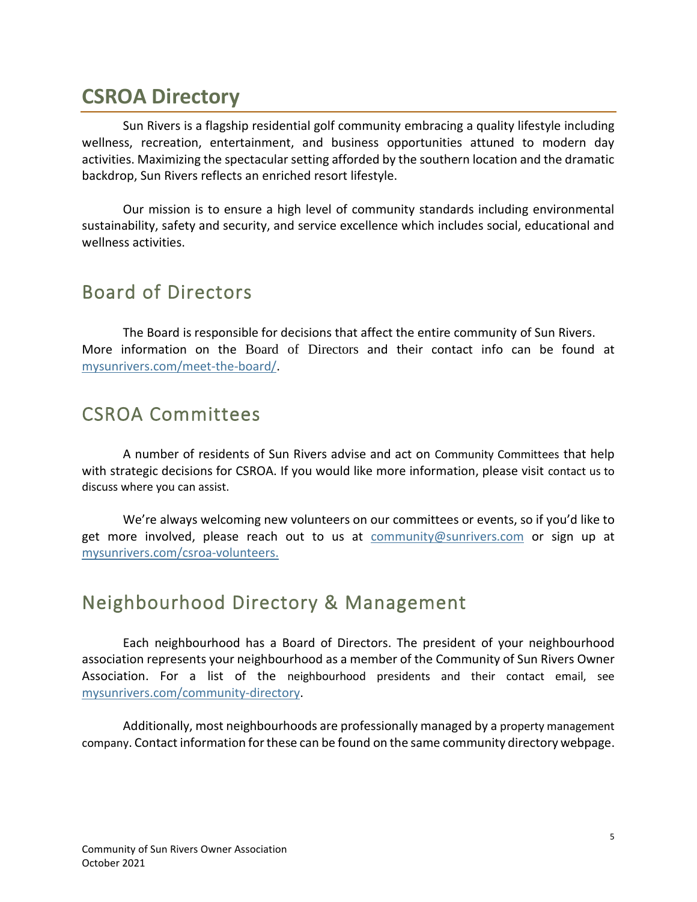# <span id="page-4-0"></span>**CSROA Directory**

Sun Rivers is a flagship residential golf community embracing a quality lifestyle including wellness, recreation, entertainment, and business opportunities attuned to modern day activities. Maximizing the spectacular setting afforded by the southern location and the dramatic backdrop, Sun Rivers reflects an enriched resort lifestyle.

Our mission is to ensure a high level of community standards including environmental sustainability, safety and security, and service excellence which includes social, educational and wellness activities.

### <span id="page-4-1"></span>Board of Directors

The Board is responsible for decisions that affect the entire community of Sun Rivers. More information on the Board of Directors and their contact info can be found at [mysunrivers.com/meet-the-board/.](http://mysunrivers.com/meet-the-board/)

## <span id="page-4-2"></span>CSROA Committees

A number of residents of Sun Rivers advise and act on Community Committees that help with strategic decisions for CSROA. If you would like more information, please visit contact us to discuss where you can assist.

We're always welcoming new volunteers on our committees or events, so if you'd like to get more involved, please reach out to us at [community@sunrivers.com](https://sunrivers.sharepoint.com/CSROA/Shared%20Documents/Committees/Communications/2019/community@sunrivers.com) or sign up at [mysunrivers.com/csroa-volunteers.](http://www.mysunrivers.com/csroa-volunteers)

## <span id="page-4-3"></span>Neighbourhood Directory & Management

Each neighbourhood has a Board of Directors. The president of your neighbourhood association represents your neighbourhood as a member of the Community of Sun Rivers Owner Association. For a list of the neighbourhood presidents and their contact email, see [mysunrivers.com/community-directory.](http://mysunrivers.com/community-directory/)

Additionally, most neighbourhoods are professionally managed by a property management company. Contact information for these can be found on the same community directory webpage.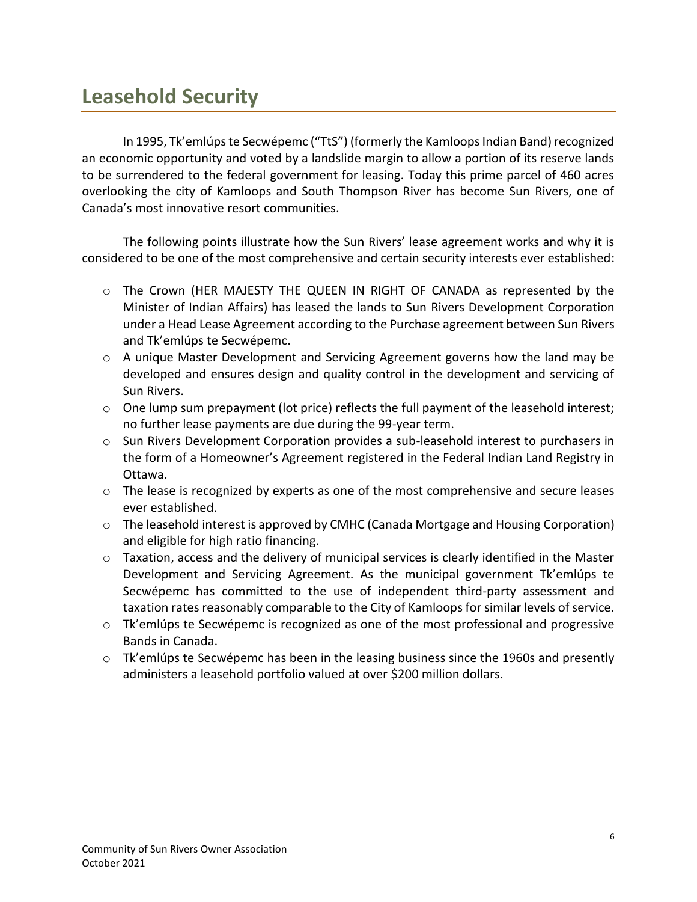# <span id="page-5-0"></span>**Leasehold Security**

In 1995, Tk'emlúps te Secwépemc ("TtS") (formerly the Kamloops Indian Band) recognized an economic opportunity and voted by a landslide margin to allow a portion of its reserve lands to be surrendered to the federal government for leasing. Today this prime parcel of 460 acres overlooking the city of Kamloops and South Thompson River has become Sun Rivers, one of Canada's most innovative resort communities.

The following points illustrate how the Sun Rivers' lease agreement works and why it is considered to be one of the most comprehensive and certain security interests ever established:

- o The Crown (HER MAJESTY THE QUEEN IN RIGHT OF CANADA as represented by the Minister of Indian Affairs) has leased the lands to Sun Rivers Development Corporation under a Head Lease Agreement according to the Purchase agreement between Sun Rivers and Tk'emlúps te Secwépemc.
- $\circ$  A unique Master Development and Servicing Agreement governs how the land may be developed and ensures design and quality control in the development and servicing of Sun Rivers.
- $\circ$  One lump sum prepayment (lot price) reflects the full payment of the leasehold interest; no further lease payments are due during the 99-year term.
- o Sun Rivers Development Corporation provides a sub-leasehold interest to purchasers in the form of a Homeowner's Agreement registered in the Federal Indian Land Registry in Ottawa.
- $\circ$  The lease is recognized by experts as one of the most comprehensive and secure leases ever established.
- o The leasehold interest is approved by CMHC (Canada Mortgage and Housing Corporation) and eligible for high ratio financing.
- o Taxation, access and the delivery of municipal services is clearly identified in the Master Development and Servicing Agreement. As the municipal government Tk'emlúps te Secwépemc has committed to the use of independent third-party assessment and taxation rates reasonably comparable to the City of Kamloops for similar levels of service.
- $\circ$  Tk'emlúps te Secwépemc is recognized as one of the most professional and progressive Bands in Canada.
- o Tk'emlúps te Secwépemc has been in the leasing business since the 1960s and presently administers a leasehold portfolio valued at over \$200 million dollars.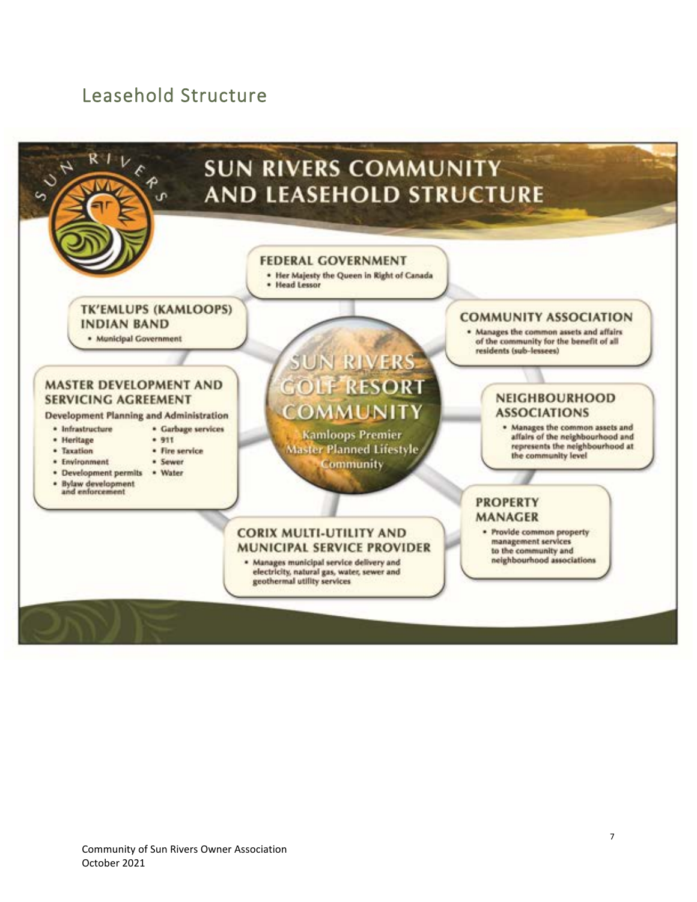### <span id="page-6-0"></span>Leasehold Structure

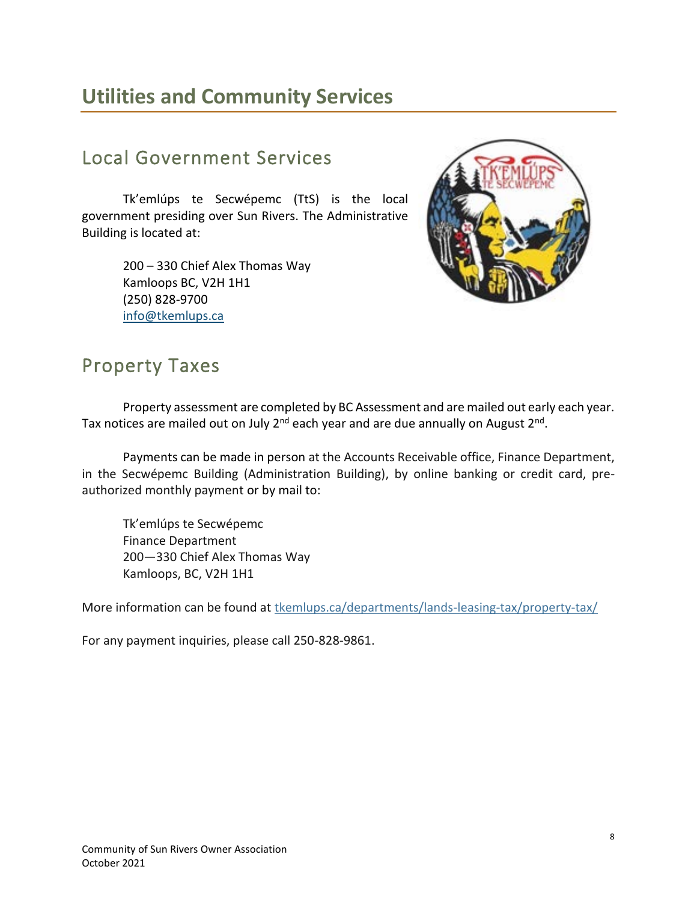# <span id="page-7-0"></span>**Utilities and Community Services**

# <span id="page-7-1"></span>Local Government Services

Tk'emlúps te Secwépemc (TtS) is the local government presiding over Sun Rivers. The Administrative Building is located at:

> 200 – 330 Chief Alex Thomas Way Kamloops BC, V2H 1H1 (250) 828-9700 [info@tkemlups.ca](mailto:info@tkemlups.ca)



## <span id="page-7-2"></span>Property Taxes

Property assessment are completed by BC Assessment and are mailed out early each year. Tax notices are mailed out on July 2<sup>nd</sup> each year and are due annually on August 2<sup>nd</sup>.

Payments can be made in person at the Accounts Receivable office, Finance Department, in the Secwépemc Building (Administration Building), by online banking or credit card, preauthorized monthly payment or by mail to:

Tk'emlúps te Secwépemc Finance Department 200—330 Chief Alex Thomas Way Kamloops, BC, V2H 1H1

More information can be found at [tkemlups.ca/departments/lands-leasing-tax/property-tax/](https://tkemlups.ca/departments/lands-leasing-tax/property-tax/)

For any payment inquiries, please call 250-828-9861.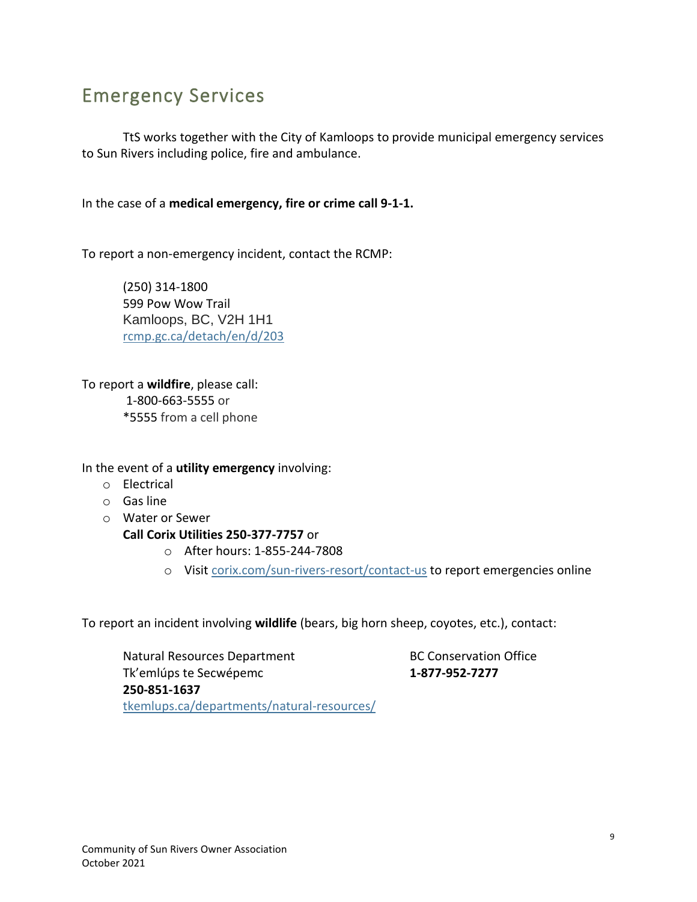# <span id="page-8-0"></span>Emergency Services

TtS works together with the City of Kamloops to provide municipal emergency services to Sun Rivers including police, fire and ambulance.

In the case of a **medical emergency, fire or crime call 9-1-1.** 

To report a non-emergency incident, contact the RCMP:

(250) 314-1800 599 Pow Wow Trail Kamloops, BC, V2H 1H1 [rcmp.gc.ca/detach/en/d/203](http://www.rcmp.gc.ca/detach/en/d/203)

To report a **wildfire**, please call: 1-800-663-5555 or \*5555 from a cell phone

In the event of a **utility emergency** involving:

- o Electrical
- o Gas line
- o Water or Sewer

**Call Corix Utilities 250-377-7757** or

- o After hours: 1-855-244-7808
- o Visi[t corix.com/sun-rivers-resort/contact-us](https://www.corix.com/sun-rivers-resort/contact-us) to report emergencies online

To report an incident involving **wildlife** (bears, big horn sheep, coyotes, etc.), contact:

Natural Resources Department BC Conservation Office Tk'emlúps te Secwépemc **1-877-952-7277 250-851-1637** [tkemlups.ca/departments/natural-resources/](https://tkemlups.ca/departments/natural-resources/)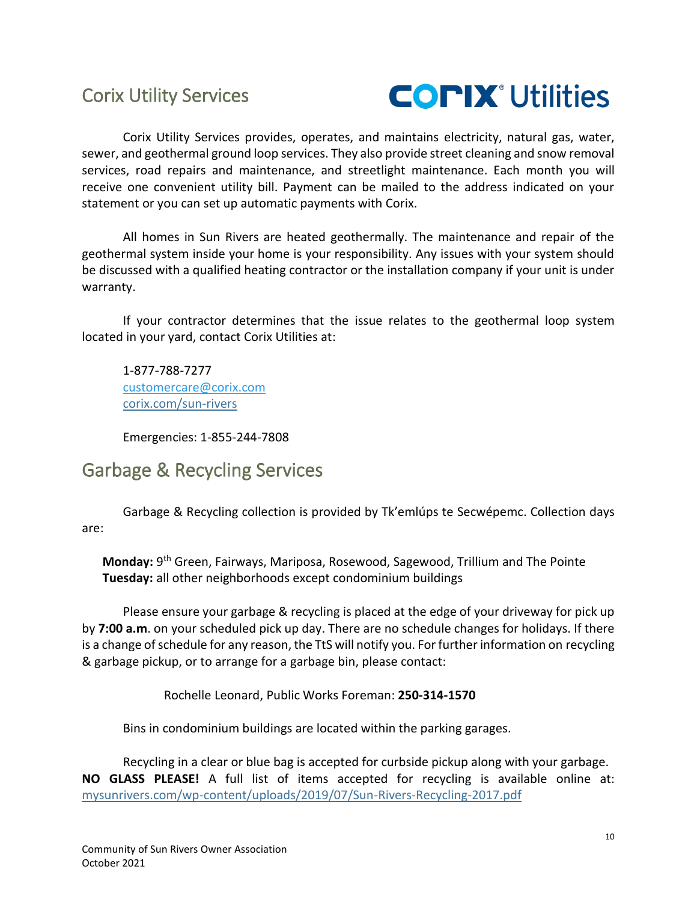### <span id="page-9-0"></span>Corix Utility Services



Corix Utility Services provides, operates, and maintains electricity, natural gas, water, sewer, and geothermal ground loop services. They also provide street cleaning and snow removal services, road repairs and maintenance, and streetlight maintenance. Each month you will receive one convenient utility bill. Payment can be mailed to the address indicated on your statement or you can set up automatic payments with Corix.

All homes in Sun Rivers are heated geothermally. The maintenance and repair of the geothermal system inside your home is your responsibility. Any issues with your system should be discussed with a qualified heating contractor or the installation company if your unit is under warranty.

If your contractor determines that the issue relates to the geothermal loop system located in your yard, contact Corix Utilities at:

1-877-788-7277 [customercare@corix.com](mailto:customercare@corix.com) [corix.com/sun-rivers](https://www.corix.com/sun-rivers-resort/home)

Emergencies: 1-855-244-7808

### <span id="page-9-1"></span>Garbage & Recycling Services

Garbage & Recycling collection is provided by Tk'emlúps te Secwépemc. Collection days are:

**Monday:** 9 th Green, Fairways, Mariposa, Rosewood, Sagewood, Trillium and The Pointe **Tuesday:** all other neighborhoods except condominium buildings

Please ensure your garbage & recycling is placed at the edge of your driveway for pick up by **7:00 a.m**. on your scheduled pick up day. There are no schedule changes for holidays. If there is a change of schedule for any reason, the TtS will notify you. For further information on recycling & garbage pickup, or to arrange for a garbage bin, please contact:

Rochelle Leonard, Public Works Foreman: **250-314-1570**

Bins in condominium buildings are located within the parking garages.

Recycling in a clear or blue bag is accepted for curbside pickup along with your garbage. **NO GLASS PLEASE!** A full list of items accepted for recycling is available online at: [mysunrivers.com/wp-content/uploads/2019/07/Sun-Rivers-Recycling-2017.pdf](http://mysunrivers.com/wp-content/uploads/2019/07/Sun-Rivers-Recycling-2017.pdf)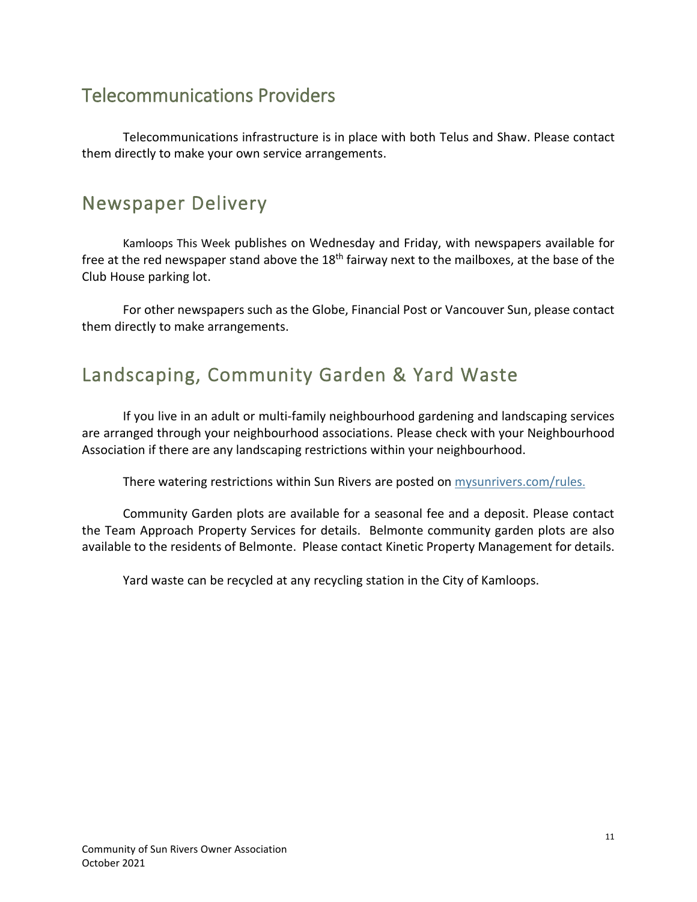# <span id="page-10-0"></span>Telecommunications Providers

Telecommunications infrastructure is in place with both Telus and Shaw. Please contact them directly to make your own service arrangements.

# <span id="page-10-1"></span>Newspaper Delivery

Kamloops This Week publishes on Wednesday and Friday, with newspapers available for free at the red newspaper stand above the 18<sup>th</sup> fairway next to the mailboxes, at the base of the Club House parking lot.

For other newspapers such as the Globe, Financial Post or Vancouver Sun, please contact them directly to make arrangements.

# <span id="page-10-2"></span>Landscaping, Community Garden & Yard Waste

If you live in an adult or multi-family neighbourhood gardening and landscaping services are arranged through your neighbourhood associations. Please check with your Neighbourhood Association if there are any landscaping restrictions within your neighbourhood.

There watering restrictions within Sun Rivers are posted on [mysunrivers.com/](http://mysunrivers.com/rules)rules.

Community Garden plots are available for a seasonal fee and a deposit. Please contact the Team Approach Property Services for details. Belmonte community garden plots are also available to the residents of Belmonte. Please contact Kinetic Property Management for details.

Yard waste can be recycled at any recycling station in the City of Kamloops.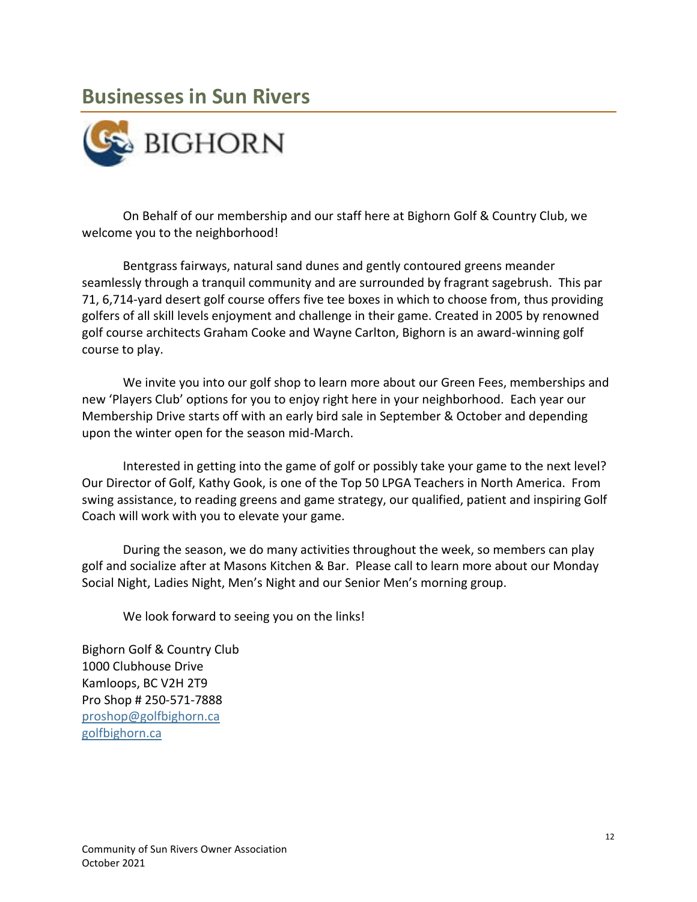# <span id="page-11-0"></span>**Businesses in Sun Rivers**



On Behalf of our membership and our staff here at Bighorn Golf & Country Club, we welcome you to the neighborhood!

Bentgrass fairways, natural sand dunes and gently contoured greens meander seamlessly through a tranquil community and are surrounded by fragrant sagebrush. This par 71, 6,714-yard desert golf course offers five tee boxes in which to choose from, thus providing golfers of all skill levels enjoyment and challenge in their game. Created in 2005 by renowned golf course architects Graham Cooke and Wayne Carlton, Bighorn is an award-winning golf course to play.

We invite you into our golf shop to learn more about our Green Fees, memberships and new 'Players Club' options for you to enjoy right here in your neighborhood. Each year our Membership Drive starts off with an early bird sale in September & October and depending upon the winter open for the season mid-March.

Interested in getting into the game of golf or possibly take your game to the next level? Our Director of Golf, Kathy Gook, is one of the Top 50 LPGA Teachers in North America. From swing assistance, to reading greens and game strategy, our qualified, patient and inspiring Golf Coach will work with you to elevate your game.

During the season, we do many activities throughout the week, so members can play golf and socialize after at Masons Kitchen & Bar. Please call to learn more about our Monday Social Night, Ladies Night, Men's Night and our Senior Men's morning group.

We look forward to seeing you on the links!

Bighorn Golf & Country Club 1000 Clubhouse Drive Kamloops, BC V2H 2T9 Pro Shop # 250-571-7888 [proshop@golfbighorn.ca](mailto:proshop@golfbighorn.ca) [golfbighorn.ca](https://golfbighorn.ca/)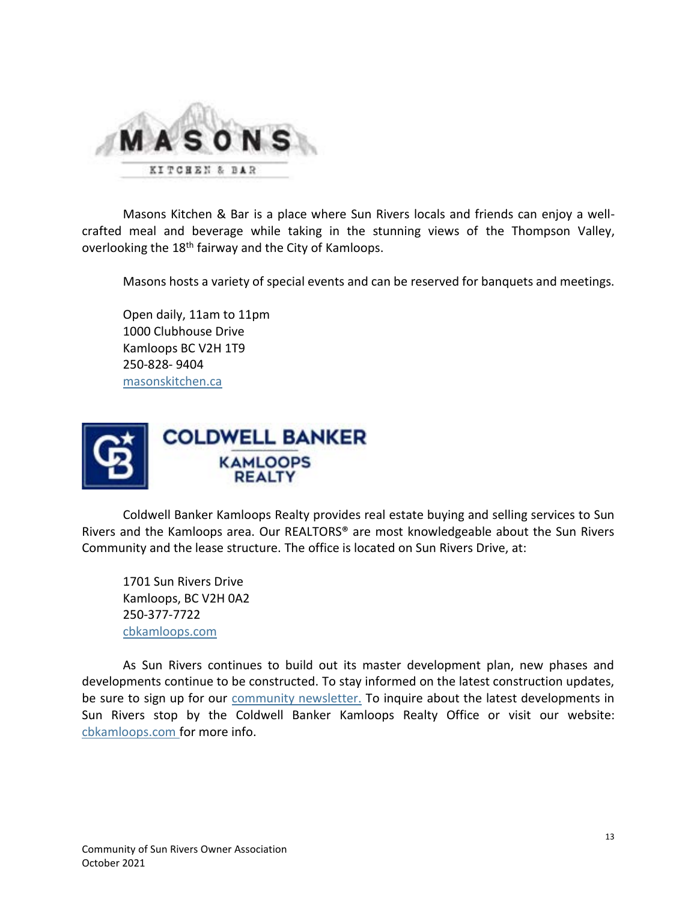

Masons Kitchen & Bar is a place where Sun Rivers locals and friends can enjoy a wellcrafted meal and beverage while taking in the stunning views of the Thompson Valley, overlooking the 18<sup>th</sup> fairway and the City of Kamloops.

Masons hosts a variety of special events and can be reserved for banquets and meetings.

Open daily, 11am to 11pm 1000 Clubhouse Drive Kamloops BC V2H 1T9 [250-828-](tel:250-828-%209404) 9404 [masonskitchen.ca](https://www.masonskitchen.ca/)



Coldwell Banker Kamloops Realty provides real estate buying and selling services to Sun Rivers and the Kamloops area. Our REALTORS® are most knowledgeable about the Sun Rivers Community and the lease structure. The office is located on Sun Rivers Drive, at:

1701 Sun Rivers Drive Kamloops, BC V2H 0A2 250-377-7722 [cbkamloops.com](https://www.coldwellbankerkamloopsrealty.com/)

<span id="page-12-0"></span>As Sun Rivers continues to build out its master development plan, new phases and developments continue to be constructed. To stay informed on the latest construction updates, be sure to sign up for our [community newsletter](http://mysunrivers.com/). To inquire about the latest developments in Sun Rivers stop by the Coldwell Banker Kamloops Realty Office or visit our website: [cbkamloops.com](https://www.coldwellbankerkamloopsrealty.com/) for more info.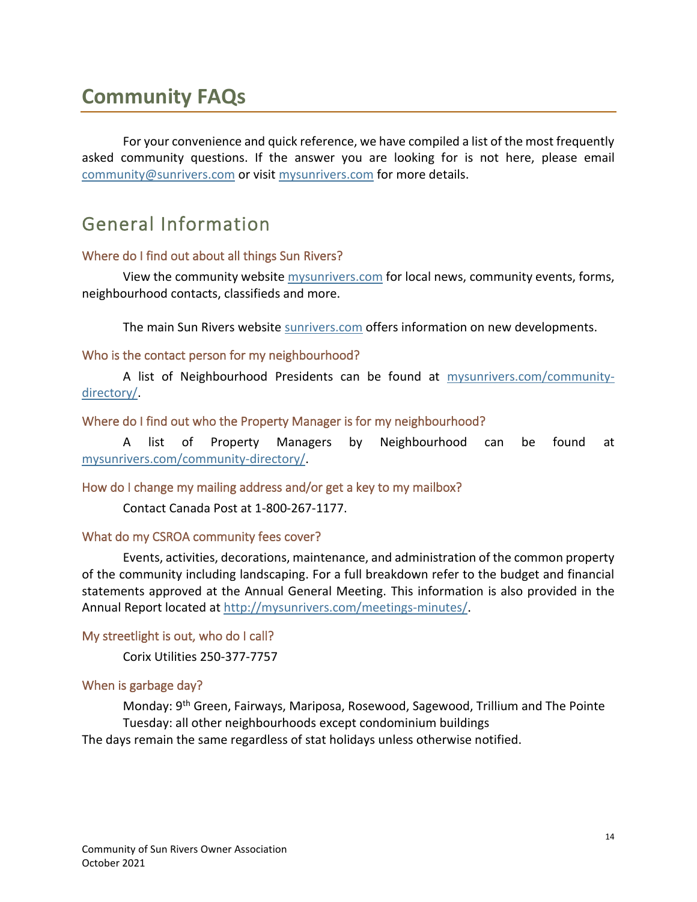# **Community FAQs**

For your convenience and quick reference, we have compiled a list of the most frequently asked community questions. If the answer you are looking for is not here, please email [community@sunrivers.com](mailto:community@sunrivers.com) or visit [mysunrivers.com](http://www.mysunrivers.com/) for more details.

### <span id="page-13-0"></span>General Information

#### <span id="page-13-1"></span>Where do I find out about all things Sun Rivers?

View the community website [mysunrivers.com](http://mysunrivers.com/) for local news, community events, forms, neighbourhood contacts, classifieds and more.

The main Sun Rivers website [sunrivers.com](http://sunrivers.com/) offers information on new developments.

#### <span id="page-13-2"></span>Who is the contact person for my neighbourhood?

A list of Neighbourhood Presidents can be found at [mysunrivers.com/community](http://mysunrivers.com/community-directory/)[directory/.](http://mysunrivers.com/community-directory/)

#### <span id="page-13-3"></span>Where do I find out who the Property Manager is for my neighbourhood?

A list of Property Managers by Neighbourhood can be found at [mysunrivers.com/community-directory/.](http://mysunrivers.com/community-directory/)

#### <span id="page-13-4"></span>How do I change my mailing address and/or get a key to my mailbox?

Contact Canada Post at 1-800-267-1177.

#### <span id="page-13-5"></span>What do my CSROA community fees cover?

Events, activities, decorations, maintenance, and administration of the common property of the community including landscaping. For a full breakdown refer to the budget and financial statements approved at the Annual General Meeting. This information is also provided in the Annual Report located at<http://mysunrivers.com/meetings-minutes/>.

#### <span id="page-13-6"></span>My streetlight is out, who do I call?

Corix Utilities 250-377-7757

#### <span id="page-13-7"></span>When is garbage day?

Monday: 9th Green, Fairways, Mariposa, Rosewood, Sagewood, Trillium and The Pointe Tuesday: all other neighbourhoods except condominium buildings The days remain the same regardless of stat holidays unless otherwise notified.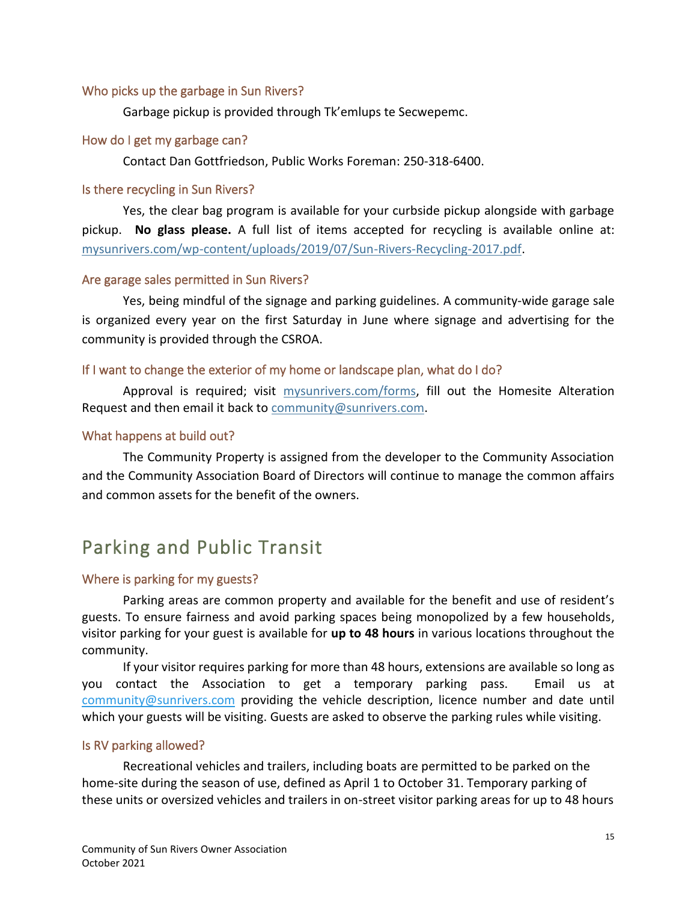#### <span id="page-14-0"></span>Who picks up the garbage in Sun Rivers?

Garbage pickup is provided through Tk'emlups te Secwepemc.

#### <span id="page-14-1"></span>How do I get my garbage can?

Contact Dan Gottfriedson, Public Works Foreman: 250-318-6400.

#### <span id="page-14-2"></span>Is there recycling in Sun Rivers?

Yes, the clear bag program is available for your curbside pickup alongside with garbage pickup. **No glass please.** A full list of items accepted for recycling is available online at: [mysunrivers.com/wp-content/uploads/2019/07/Sun-Rivers-Recycling-2017.pdf.](http://mysunrivers.com/wp-content/uploads/2019/07/Sun-Rivers-Recycling-2017.pdf)

#### <span id="page-14-3"></span>Are garage sales permitted in Sun Rivers?

Yes, being mindful of the signage and parking guidelines. A community-wide garage sale is organized every year on the first Saturday in June where signage and advertising for the community is provided through the CSROA.

#### <span id="page-14-4"></span>If I want to change the exterior of my home or landscape plan, what do I do?

Approval is required; visit [mysunrivers.com/forms,](http://mysunrivers.com/forms/) fill out the Homesite Alteration Request and then email it back to [community@sunrivers.com.](mailto:community@sunrivers.com)

#### <span id="page-14-5"></span>What happens at build out?

The Community Property is assigned from the developer to the Community Association and the Community Association Board of Directors will continue to manage the common affairs and common assets for the benefit of the owners.

# <span id="page-14-6"></span>Parking and Public Transit

#### <span id="page-14-7"></span>Where is parking for my guests?

Parking areas are common property and available for the benefit and use of resident's guests. To ensure fairness and avoid parking spaces being monopolized by a few households, visitor parking for your guest is available for **up to 48 hours** in various locations throughout the community.

If your visitor requires parking for more than 48 hours, extensions are available so long as you contact the Association to get a temporary parking pass. Email us at [community@sunrivers.com](mailto:community@sunrivers.com) providing the vehicle description, licence number and date until which your guests will be visiting. Guests are asked to observe the parking rules while visiting.

#### <span id="page-14-8"></span>Is RV parking allowed?

Recreational vehicles and trailers, including boats are permitted to be parked on the home-site during the season of use, defined as April 1 to October 31. Temporary parking of these units or oversized vehicles and trailers in on-street visitor parking areas for up to 48 hours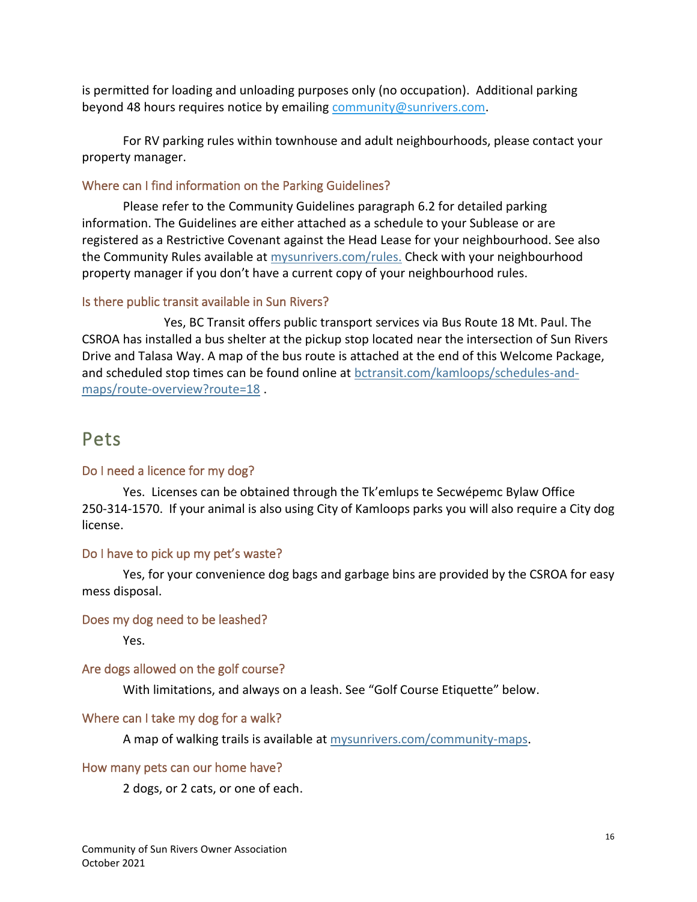is permitted for loading and unloading purposes only (no occupation). Additional parking beyond 48 hours requires notice by emailin[g community@sunrivers.com.](mailto:community@sunrivers.com)

For RV parking rules within townhouse and adult neighbourhoods, please contact your property manager.

#### <span id="page-15-0"></span>Where can I find information on the Parking Guidelines?

Please refer to the Community Guidelines paragraph 6.2 for detailed parking information. The Guidelines are either attached as a schedule to your Sublease or are registered as a Restrictive Covenant against the Head Lease for your neighbourhood. See also the Community Rules available at [mysunrivers.com/rules](http://www.mysunrivers.com/rules). Check with your neighbourhood property manager if you don't have a current copy of your neighbourhood rules.

#### <span id="page-15-1"></span>Is there public transit available in Sun Rivers?

Yes, BC Transit offers public transport services via Bus Route 18 Mt. Paul. The CSROA has installed a bus shelter at the pickup stop located near the intersection of Sun Rivers Drive and Talasa Way. A map of the bus route is attached at the end of this Welcome Package, and scheduled stop times can be found online at [bctransit.com/kamloops/schedules-and](https://bctransit.com/kamloops/schedules-and-maps/route-overview?route=18)[maps/route-overview?route=18](https://bctransit.com/kamloops/schedules-and-maps/route-overview?route=18) .

#### <span id="page-15-2"></span>Pets

#### <span id="page-15-3"></span>Do I need a licence for my dog?

Yes. Licenses can be obtained through the Tk'emlups te Secwépemc Bylaw Office 250-314-1570. If your animal is also using City of Kamloops parks you will also require a City dog license.

#### <span id="page-15-4"></span>Do I have to pick up my pet's waste?

Yes, for your convenience dog bags and garbage bins are provided by the CSROA for easy mess disposal.

#### <span id="page-15-5"></span>Does my dog need to be leashed?

Yes.

#### <span id="page-15-6"></span>Are dogs allowed on the golf course?

With limitations, and always on a leash. See "Golf Course Etiquette" below.

#### <span id="page-15-7"></span>Where can I take my dog for a walk?

A map of walking trails is available at [mysunrivers.com/community-maps](http://mysunrivers.com/community-maps/).

#### <span id="page-15-8"></span>How many pets can our home have?

2 dogs, or 2 cats, or one of each.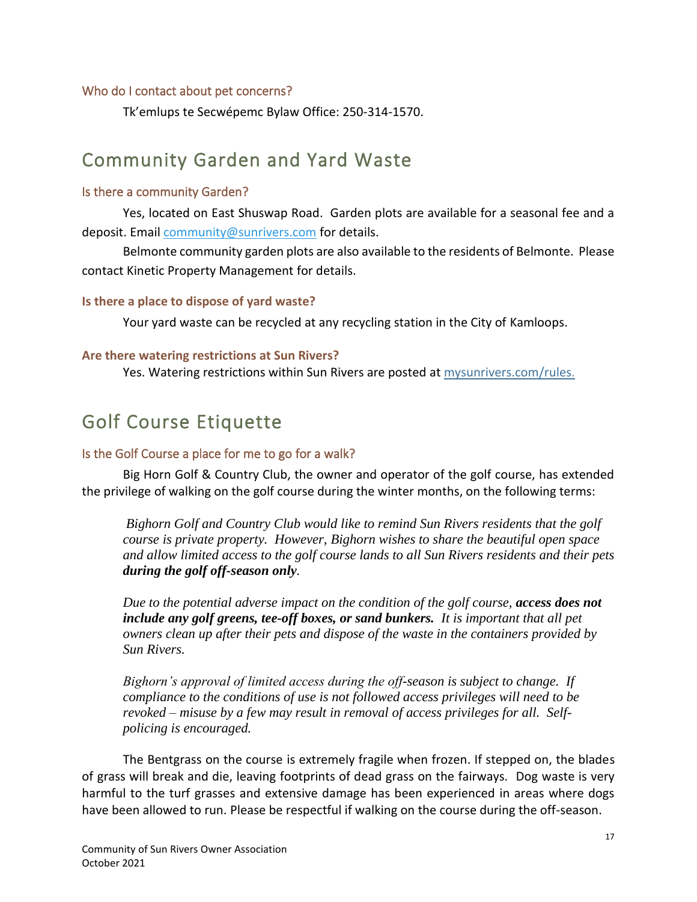#### <span id="page-16-0"></span>Who do I contact about pet concerns?

Tk'emlups te Secwépemc Bylaw Office: 250-314-1570.

### <span id="page-16-1"></span>Community Garden and Yard Waste

#### <span id="page-16-2"></span>Is there a community Garden?

Yes, located on East Shuswap Road. Garden plots are available for a seasonal fee and a deposit. Emai[l community@sunrivers.com](mailto:community@sunrivers.com) for details.

Belmonte community garden plots are also available to the residents of Belmonte. Please contact Kinetic Property Management for details.

#### <span id="page-16-4"></span><span id="page-16-3"></span>**Is there a place to dispose of yard waste?**

Your yard waste can be recycled at any recycling station in the City of Kamloops.

#### **Are there watering restrictions at Sun Rivers?**

Yes. Watering restrictions within Sun Rivers are posted at [mysunrivers.com/rules](http://mysunrivers.com/rules).

### <span id="page-16-5"></span>Golf Course Etiquette

#### <span id="page-16-6"></span>Is the Golf Course a place for me to go for a walk?

Big Horn Golf & Country Club, the owner and operator of the golf course, has extended the privilege of walking on the golf course during the winter months, on the following terms:

*Bighorn Golf and Country Club would like to remind Sun Rivers residents that the golf course is private property. However, Bighorn wishes to share the beautiful open space and allow limited access to the golf course lands to all Sun Rivers residents and their pets during the golf off-season only.*

*Due to the potential adverse impact on the condition of the golf course, access does not include any golf greens, tee-off boxes, or sand bunkers. It is important that all pet owners clean up after their pets and dispose of the waste in the containers provided by Sun Rivers.*

*Bighorn's approval of limited access during the off-season is subject to change. If compliance to the conditions of use is not followed access privileges will need to be revoked – misuse by a few may result in removal of access privileges for all. Selfpolicing is encouraged.*

The Bentgrass on the course is extremely fragile when frozen. If stepped on, the blades of grass will break and die, leaving footprints of dead grass on the fairways. Dog waste is very harmful to the turf grasses and extensive damage has been experienced in areas where dogs have been allowed to run. Please be respectful if walking on the course during the off-season.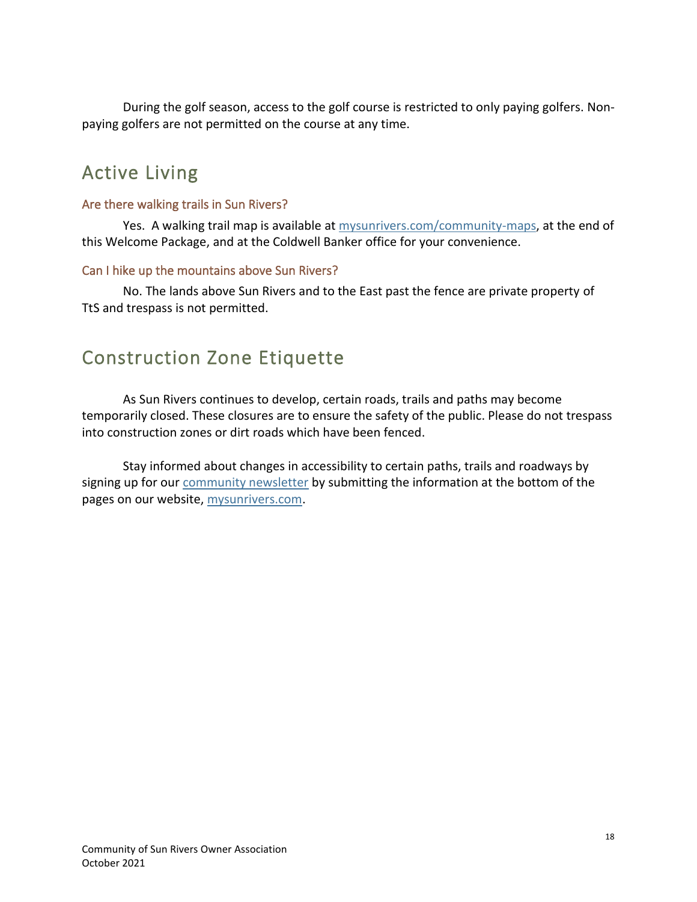During the golf season, access to the golf course is restricted to only paying golfers. Nonpaying golfers are not permitted on the course at any time.

# <span id="page-17-0"></span>Active Living

#### <span id="page-17-1"></span>Are there walking trails in Sun Rivers?

Yes. A walking trail map is available a[t mysunrivers.com/community-maps,](http://mysunrivers.com/community-maps/) at the end of this Welcome Package, and at the Coldwell Banker office for your convenience.

#### <span id="page-17-2"></span>Can I hike up the mountains above Sun Rivers?

No. The lands above Sun Rivers and to the East past the fence are private property of TtS and trespass is not permitted.

# <span id="page-17-3"></span>Construction Zone Etiquette

As Sun Rivers continues to develop, certain roads, trails and paths may become temporarily closed. These closures are to ensure the safety of the public. Please do not trespass into construction zones or dirt roads which have been fenced.

Stay informed about changes in accessibility to certain paths, trails and roadways by signing up for our [community newsletter](http://mysunrivers.com/faq/) by submitting the information at the bottom of the pages on our website, [mysunrivers.com.](http://www.mysunrivers.com/)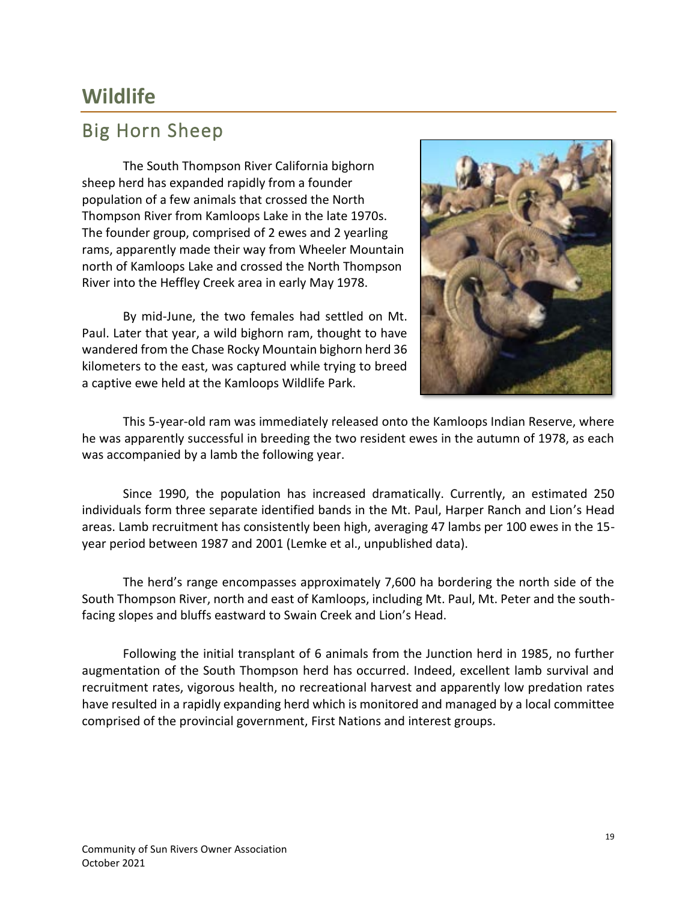# <span id="page-18-0"></span>**Wildlife**

### <span id="page-18-1"></span>Big Horn Sheep

The South Thompson River California bighorn sheep herd has expanded rapidly from a founder population of a few animals that crossed the North Thompson River from Kamloops Lake in the late 1970s. The founder group, comprised of 2 ewes and 2 yearling rams, apparently made their way from Wheeler Mountain north of Kamloops Lake and crossed the North Thompson River into the Heffley Creek area in early May 1978.

By mid-June, the two females had settled on Mt. Paul. Later that year, a wild bighorn ram, thought to have wandered from the Chase Rocky Mountain bighorn herd 36 kilometers to the east, was captured while trying to breed a captive ewe held at the Kamloops Wildlife Park.



This 5-year-old ram was immediately released onto the Kamloops Indian Reserve, where he was apparently successful in breeding the two resident ewes in the autumn of 1978, as each was accompanied by a lamb the following year.

Since 1990, the population has increased dramatically. Currently, an estimated 250 individuals form three separate identified bands in the Mt. Paul, Harper Ranch and Lion's Head areas. Lamb recruitment has consistently been high, averaging 47 lambs per 100 ewes in the 15 year period between 1987 and 2001 (Lemke et al., unpublished data).

The herd's range encompasses approximately 7,600 ha bordering the north side of the South Thompson River, north and east of Kamloops, including Mt. Paul, Mt. Peter and the southfacing slopes and bluffs eastward to Swain Creek and Lion's Head.

Following the initial transplant of 6 animals from the Junction herd in 1985, no further augmentation of the South Thompson herd has occurred. Indeed, excellent lamb survival and recruitment rates, vigorous health, no recreational harvest and apparently low predation rates have resulted in a rapidly expanding herd which is monitored and managed by a local committee comprised of the provincial government, First Nations and interest groups.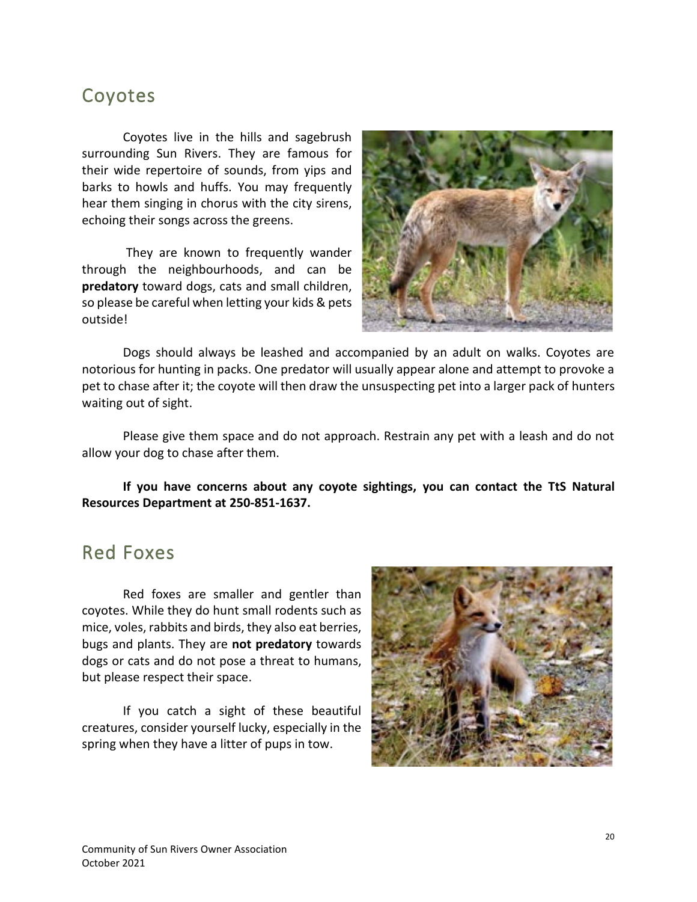### <span id="page-19-0"></span>Coyotes

Coyotes live in the hills and sagebrush surrounding Sun Rivers. They are famous for their wide repertoire of sounds, from yips and barks to howls and huffs. You may frequently hear them singing in chorus with the city sirens, echoing their songs across the greens.

They are known to frequently wander through the neighbourhoods, and can be **predatory** toward dogs, cats and small children, so please be careful when letting your kids & pets outside!



Dogs should always be leashed and accompanied by an adult on walks. Coyotes are notorious for hunting in packs. One predator will usually appear alone and attempt to provoke a pet to chase after it; the coyote will then draw the unsuspecting pet into a larger pack of hunters waiting out of sight.

Please give them space and do not approach. Restrain any pet with a leash and do not allow your dog to chase after them.

#### **If you have concerns about any coyote sightings, you can contact the TtS Natural Resources Department at 250-851-1637.**

### <span id="page-19-1"></span>Red Foxes

Red foxes are smaller and gentler than coyotes. While they do hunt small rodents such as mice, voles, rabbits and birds, they also eat berries, bugs and plants. They are **not predatory** towards dogs or cats and do not pose a threat to humans, but please respect their space.

If you catch a sight of these beautiful creatures, consider yourself lucky, especially in the spring when they have a litter of pups in tow.

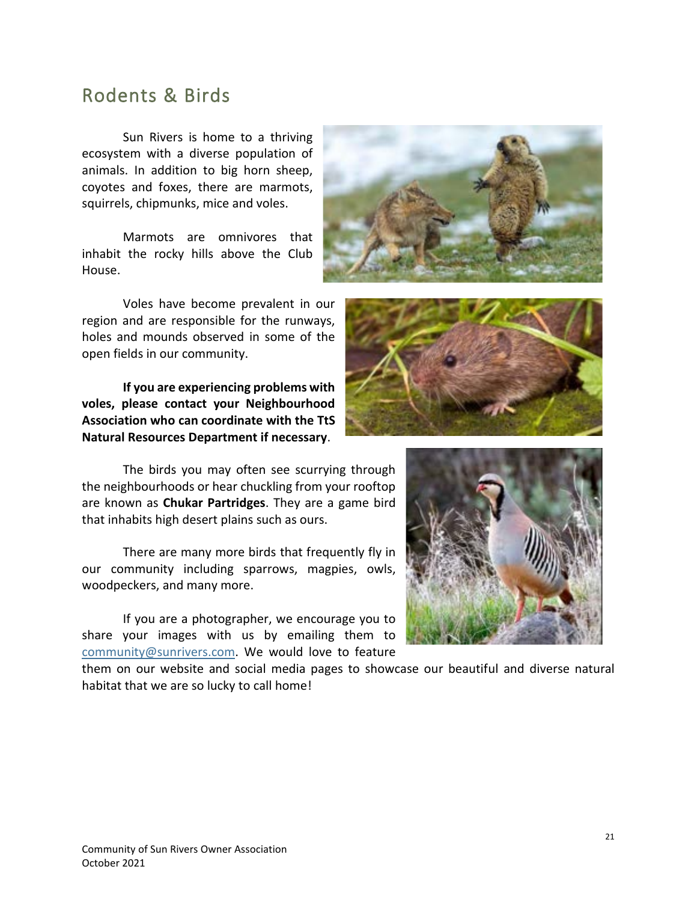### <span id="page-20-0"></span>Rodents & Birds

Sun Rivers is home to a thriving ecosystem with a diverse population of animals. In addition to big horn sheep, coyotes and foxes, there are marmots, squirrels, chipmunks, mice and voles.

Marmots are omnivores that inhabit the rocky hills above the Club House.

Voles have become prevalent in our region and are responsible for the runways, holes and mounds observed in some of the open fields in our community.

**If you are experiencing problems with voles, please contact your Neighbourhood Association who can coordinate with the TtS Natural Resources Department if necessary**.

The birds you may often see scurrying through the neighbourhoods or hear chuckling from your rooftop are known as **Chukar Partridges**. They are a game bird that inhabits high desert plains such as ours.

There are many more birds that frequently fly in our community including sparrows, magpies, owls, woodpeckers, and many more.

If you are a photographer, we encourage you to share your images with us by emailing them to [community@sunrivers.com.](mailto:community@sunrivers.com) We would love to feature

them on our website and social media pages to showcase our beautiful and diverse natural habitat that we are so lucky to call home!





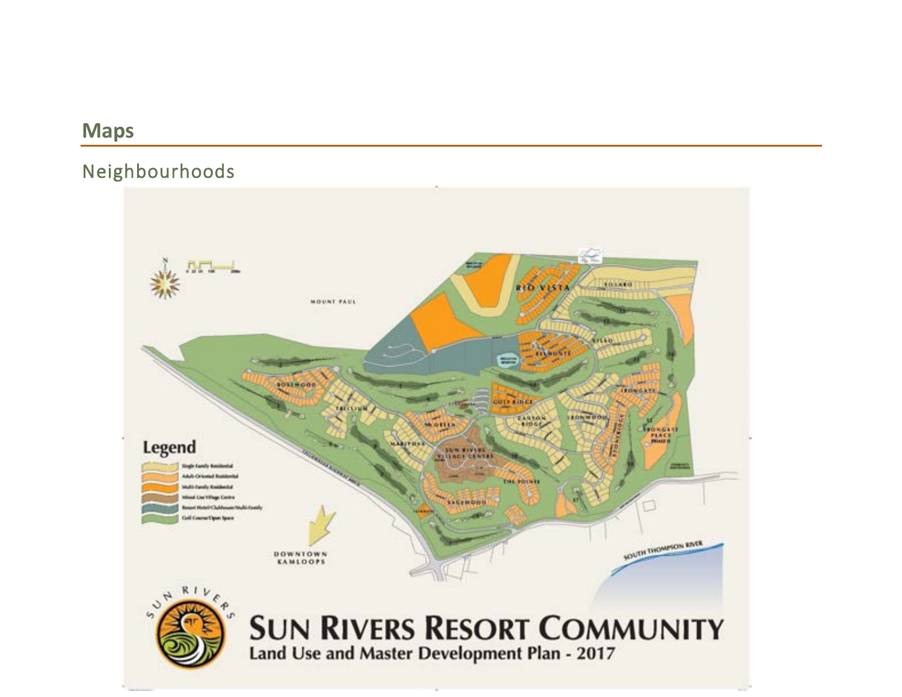# **Maps**

# Neighbourhoods

<span id="page-21-1"></span><span id="page-21-0"></span>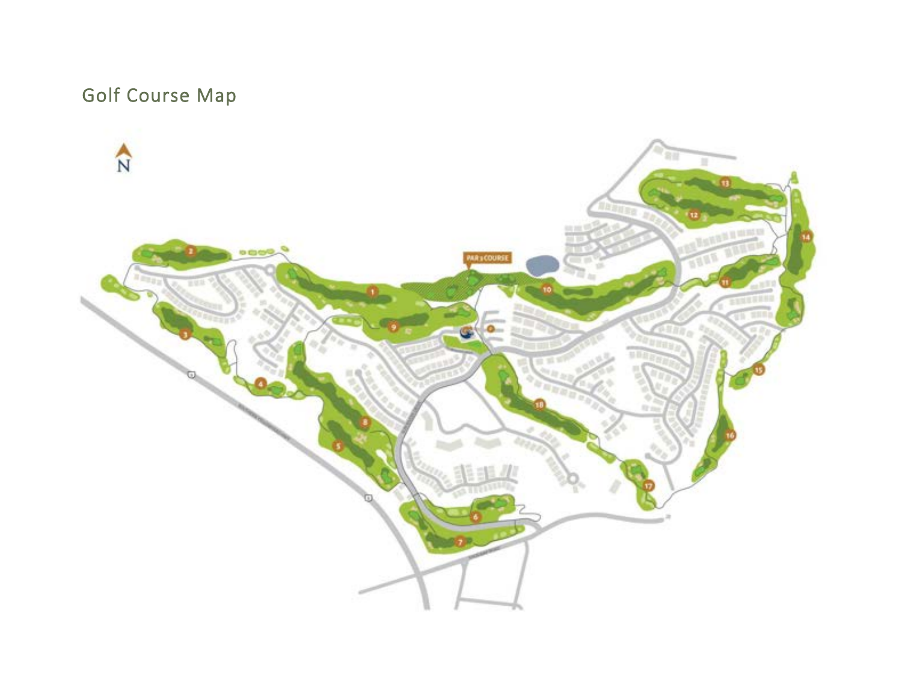# Golf Course Map

<span id="page-22-0"></span>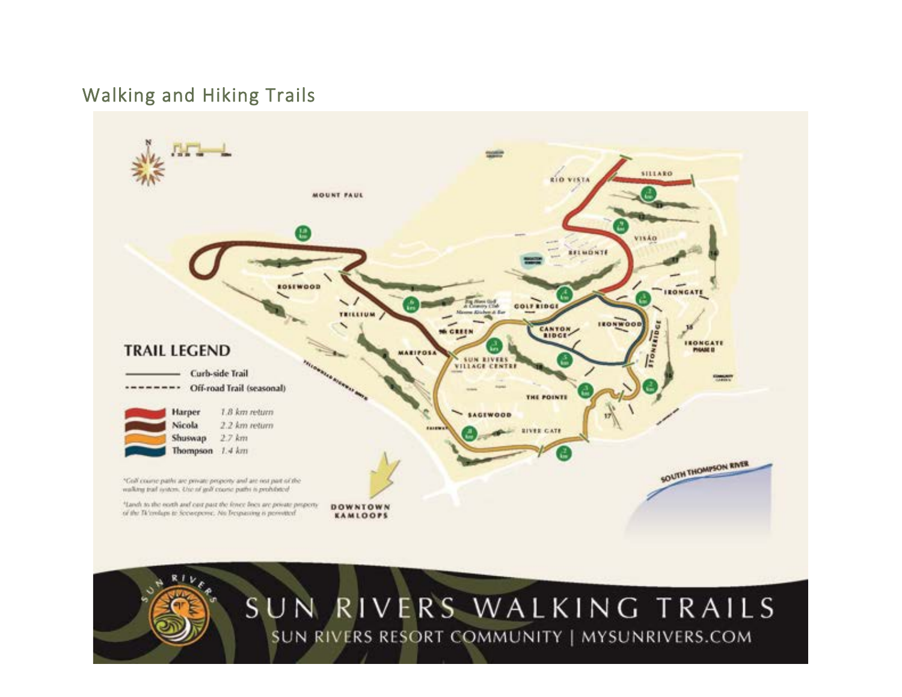### Walking and Hiking Trails

<span id="page-23-0"></span>